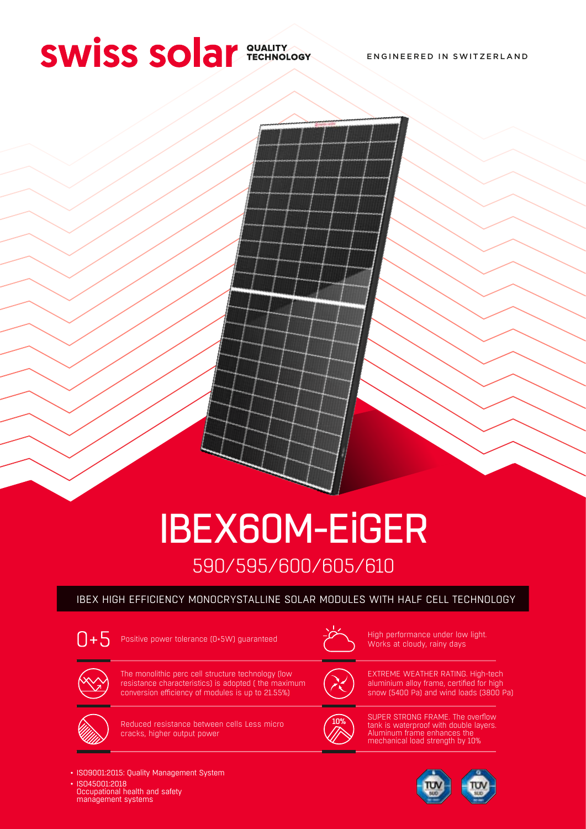# **SWISS SO ar SUALITY ADDRESS SO ALLITY**

ENGINEERED IN SWITZERLAND



## 590/595/600/605/610 IBEX60M-EiGER

#### IBEX HIGH EFFICIENCY MONOCRYSTALLINE SOLAR MODULES WITH HALF CELL TECHNOLOGY



Positive power tolerance (0+5W) guaranteed  $\overbrace{ }$  High performance under low light.



Works at cloudy, rainy days



The monolithic perc cell structure technology (low resistance characteristics) is adopted ( the maximum conversion efficiency of modules is up to 21.55%)



Reduced resistance between cells Less micro cracks, higher output power



EXTREME WEATHER RATING. High-tech aluminium alloy frame, certified for high snow (5400 Pa) and wind loads (3800 Pa)



SUPER STRONG FRAME. The overflow tank is waterproof with double layers. Aluminum frame enhances the mechanical load strength by 10%



- ISO9001:2015: Quality Management System
- ISO45001:2018 Occupational health and safety management systems